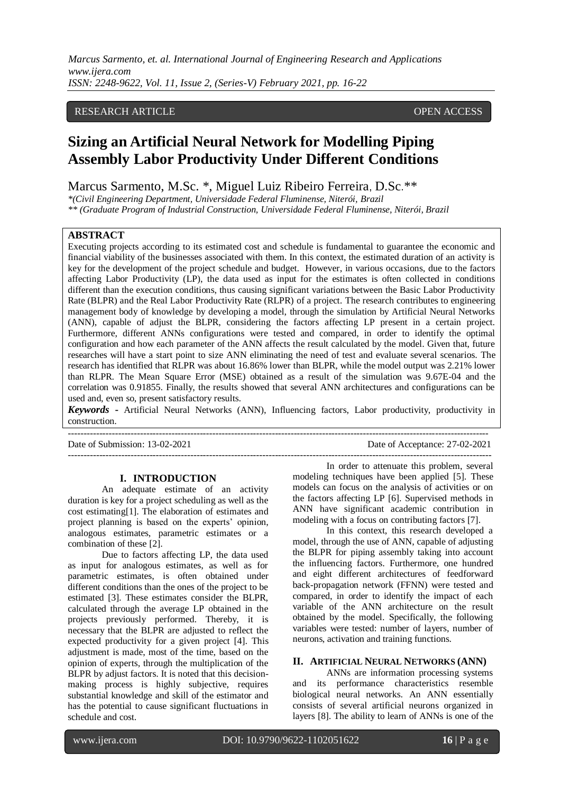*Marcus Sarmento, et. al. International Journal of Engineering Research and Applications www.ijera.com ISSN: 2248-9622, Vol. 11, Issue 2, (Series-V) February 2021, pp. 16-22*

## RESEARCH ARTICLE **CONSERVERS** OPEN ACCESS

# **Sizing an Artificial Neural Network for Modelling Piping Assembly Labor Productivity Under Different Conditions**

Marcus Sarmento, M.Sc. \*, Miguel Luiz Ribeiro Ferreira, D.Sc.\*\*

*\*(Civil Engineering Department, Universidade Federal Fluminense, Niterói, Brazil*

*\*\* (Graduate Program of Industrial Construction, Universidade Federal Fluminense, Niterói, Brazil*

## **ABSTRACT**

Executing projects according to its estimated cost and schedule is fundamental to guarantee the economic and financial viability of the businesses associated with them. In this context, the estimated duration of an activity is key for the development of the project schedule and budget. However, in various occasions, due to the factors affecting Labor Productivity (LP), the data used as input for the estimates is often collected in conditions different than the execution conditions, thus causing significant variations between the Basic Labor Productivity Rate (BLPR) and the Real Labor Productivity Rate (RLPR) of a project. The research contributes to engineering management body of knowledge by developing a model, through the simulation by Artificial Neural Networks (ANN), capable of adjust the BLPR, considering the factors affecting LP present in a certain project. Furthermore, different ANNs configurations were tested and compared, in order to identify the optimal configuration and how each parameter of the ANN affects the result calculated by the model. Given that, future researches will have a start point to size ANN eliminating the need of test and evaluate several scenarios. The research has identified that RLPR was about 16.86% lower than BLPR, while the model output was 2.21% lower than RLPR. The Mean Square Error (MSE) obtained as a result of the simulation was 9.67E-04 and the correlation was 0.91855. Finally, the results showed that several ANN architectures and configurations can be used and, even so, present satisfactory results.

*Keywords* **-** Artificial Neural Networks (ANN), Influencing factors, Labor productivity, productivity in construction. --------------------------------------------------------------------------------------------------------------------------------------

Date of Submission: 13-02-2021 Date of Acceptance: 27-02-2021

### **I. INTRODUCTION**

An adequate estimate of an activity duration is key for a project scheduling as well as the cost estimating[1]. The elaboration of estimates and project planning is based on the experts' opinion, analogous estimates, parametric estimates or a combination of these [2].

Due to factors affecting LP, the data used as input for analogous estimates, as well as for parametric estimates, is often obtained under different conditions than the ones of the project to be estimated [3]. These estimates consider the BLPR, calculated through the average LP obtained in the projects previously performed. Thereby, it is necessary that the BLPR are adjusted to reflect the expected productivity for a given project [4]. This adjustment is made, most of the time, based on the opinion of experts, through the multiplication of the BLPR by adjust factors. It is noted that this decisionmaking process is highly subjective, requires substantial knowledge and skill of the estimator and has the potential to cause significant fluctuations in schedule and cost.

--------------------------------------------------------------------------------------------------------------------------------------- In order to attenuate this problem, several modeling techniques have been applied [5]. These models can focus on the analysis of activities or on the factors affecting LP [6]. Supervised methods in ANN have significant academic contribution in modeling with a focus on contributing factors [7].

> In this context, this research developed a model, through the use of ANN, capable of adjusting the BLPR for piping assembly taking into account the influencing factors. Furthermore, one hundred and eight different architectures of feedforward back-propagation network (FFNN) were tested and compared, in order to identify the impact of each variable of the ANN architecture on the result obtained by the model. Specifically, the following variables were tested: number of layers, number of neurons, activation and training functions.

# **II. ARTIFICIAL NEURAL NETWORKS (ANN)**

ANNs are information processing systems and its performance characteristics resemble biological neural networks. An ANN essentially consists of several artificial neurons organized in layers [8]. The ability to learn of ANNs is one of the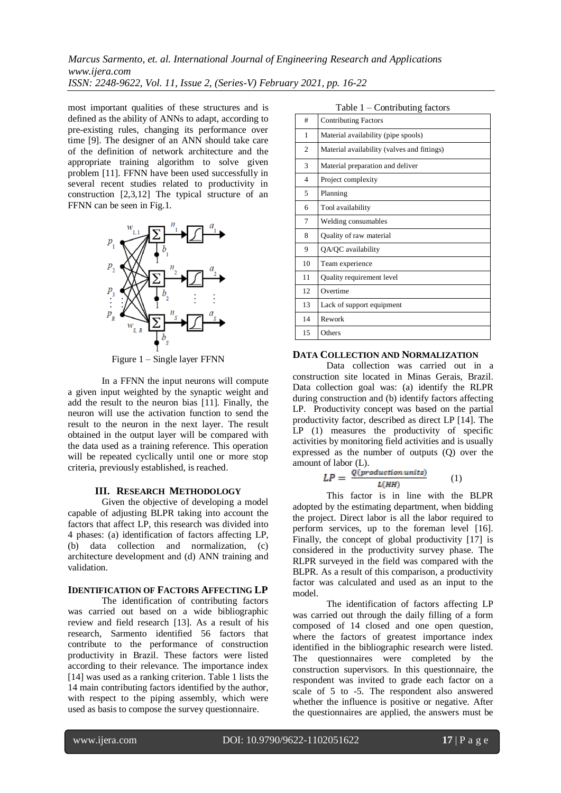most important qualities of these structures and is defined as the ability of ANNs to adapt, according to pre-existing rules, changing its performance over time [9]. The designer of an ANN should take care of the definition of network architecture and the appropriate training algorithm to solve given problem [11]. FFNN have been used successfully in several recent studies related to productivity in construction  $[2,3,12]$  The typical structure of an FFNN can be seen in Fig.1.



Figure 1 – Single layer FFNN

In a FFNN the input neurons will compute a given input weighted by the synaptic weight and add the result to the neuron bias [11]. Finally, the neuron will use the activation function to send the result to the neuron in the next layer. The result obtained in the output layer will be compared with the data used as a training reference. This operation will be repeated cyclically until one or more stop criteria, previously established, is reached.

### **III. RESEARCH METHODOLOGY**

Given the objective of developing a model capable of adjusting BLPR taking into account the factors that affect LP, this research was divided into 4 phases: (a) identification of factors affecting LP, (b) data collection and normalization, (c) architecture development and (d) ANN training and validation.

# **IDENTIFICATION OF FACTORS AFFECTING LP**

The identification of contributing factors was carried out based on a wide bibliographic review and field research [13]. As a result of his research, Sarmento identified 56 factors that contribute to the performance of construction productivity in Brazil. These factors were listed according to their relevance. The importance index [14] was used as a ranking criterion. Table 1 lists the 14 main contributing factors identified by the author, with respect to the piping assembly, which were used as basis to compose the survey questionnaire.

Table 1 – Contributing factors

| $14010 + 16011104$ |                                             |  |  |
|--------------------|---------------------------------------------|--|--|
| #                  | <b>Contributing Factors</b>                 |  |  |
| 1                  | Material availability (pipe spools)         |  |  |
| $\overline{c}$     | Material availability (valves and fittings) |  |  |
| 3                  | Material preparation and deliver            |  |  |
| $\overline{4}$     | Project complexity                          |  |  |
| 5                  | Planning                                    |  |  |
| 6                  | Tool availability                           |  |  |
| 7                  | Welding consumables                         |  |  |
| 8                  | Quality of raw material                     |  |  |
| 9                  | QA/QC availability                          |  |  |
| 10                 | Team experience                             |  |  |
| 11                 | Quality requirement level                   |  |  |
| 12                 | Overtime                                    |  |  |
| 13                 | Lack of support equipment                   |  |  |
| 14                 | Rework                                      |  |  |
| 15                 | Others                                      |  |  |

# **DATA COLLECTION AND NORMALIZATION**

Data collection was carried out in a construction site located in Minas Gerais, Brazil. Data collection goal was: (a) identify the RLPR during construction and (b) identify factors affecting LP. Productivity concept was based on the partial productivity factor, described as direct LP [14]. The LP (1) measures the productivity of specific activities by monitoring field activities and is usually expressed as the number of outputs (Q) over the amount of labor (L).

$$
LP = \frac{Q(production\,units)}{L(HH)} \tag{1}
$$

This factor is in line with the BLPR adopted by the estimating department, when bidding the project. Direct labor is all the labor required to perform services, up to the foreman level [16]. Finally, the concept of global productivity [17] is considered in the productivity survey phase. The RLPR surveyed in the field was compared with the BLPR. As a result of this comparison, a productivity factor was calculated and used as an input to the model.

The identification of factors affecting LP was carried out through the daily filling of a form composed of 14 closed and one open question, where the factors of greatest importance index identified in the bibliographic research were listed. The questionnaires were completed by the construction supervisors. In this questionnaire, the respondent was invited to grade each factor on a scale of 5 to -5. The respondent also answered whether the influence is positive or negative. After the questionnaires are applied, the answers must be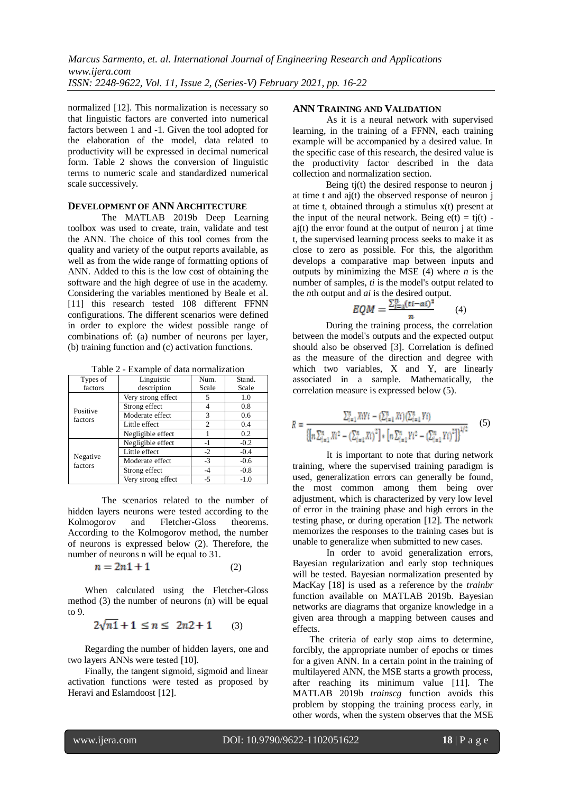normalized [12]. This normalization is necessary so that linguistic factors are converted into numerical factors between 1 and -1. Given the tool adopted for the elaboration of the model, data related to productivity will be expressed in decimal numerical form. Table 2 shows the conversion of linguistic terms to numeric scale and standardized numerical scale successively.

## **DEVELOPMENT OF ANN ARCHITECTURE**

The MATLAB 2019b Deep Learning toolbox was used to create, train, validate and test the ANN. The choice of this tool comes from the quality and variety of the output reports available, as well as from the wide range of formatting options of ANN. Added to this is the low cost of obtaining the software and the high degree of use in the academy. Considering the variables mentioned by Beale et al. [11] this research tested 108 different FFNN configurations. The different scenarios were defined in order to explore the widest possible range of combinations of: (a) number of neurons per layer, (b) training function and (c) activation functions.

Table 2 - Example of data normalization

| Types of            | Linguistic         | Num.           | Stand. |  |
|---------------------|--------------------|----------------|--------|--|
| factors             | description        | Scale          | Scale  |  |
|                     | Very strong effect | 5              | 1.0    |  |
| Positive            | Strong effect      |                | 0.8    |  |
| factors             | Moderate effect    | 3              | 0.6    |  |
|                     | Little effect      | $\overline{c}$ | 0.4    |  |
|                     | Negligible effect  |                | 0.2    |  |
|                     | Negligible effect  | -1             | $-0.2$ |  |
|                     | Little effect      | $-2$           | $-0.4$ |  |
| Negative<br>factors | Moderate effect    | $-3$           | $-0.6$ |  |
|                     | Strong effect      | -4             | $-0.8$ |  |
|                     | Very strong effect | $-5$           | $-1.0$ |  |

The scenarios related to the number of hidden layers neurons were tested according to the Kolmogorov and Fletcher-Gloss theorems. According to the Kolmogorov method, the number of neurons is expressed below (2). Therefore, the number of neurons n will be equal to 31.

$$
n = 2n1 + 1\tag{2}
$$

When calculated using the Fletcher-Gloss method (3) the number of neurons (n) will be equal to 9.

$$
2\sqrt{n1} + 1 \le n \le 2n2 + 1 \qquad (3)
$$

Regarding the number of hidden layers, one and two layers ANNs were tested [10].

Finally, the tangent sigmoid, sigmoid and linear activation functions were tested as proposed by Heravi and Eslamdoost [12].

## **ANN TRAINING AND VALIDATION**

As it is a neural network with supervised learning, in the training of a FFNN, each training example will be accompanied by a desired value. In the specific case of this research, the desired value is the productivity factor described in the data collection and normalization section.

Being tj(t) the desired response to neuron j at time t and  $\overline{a}$  aj(t) the observed response of neuron  $\overline{i}$ at time t, obtained through a stimulus x(t) present at the input of the neural network. Being  $e(t) = t j(t)$   $a$ j $(t)$  the error found at the output of neuron j at time t, the supervised learning process seeks to make it as close to zero as possible. For this, the algorithm develops a comparative map between inputs and outputs by minimizing the MSE  $(4)$  where *n* is the number of samples, *ti* is the model's output related to the *n*th output and *ai* is the desired output.

$$
EQM = \frac{\sum_{i=1}^{n} (ti - ai)^2}{n} \qquad (4)
$$

During the training process, the correlation between the model's outputs and the expected output should also be observed [3]. Correlation is defined as the measure of the direction and degree with which two variables, X and Y, are linearly associated in a sample. Mathematically, the correlation measure is expressed below (5).

$$
R = \frac{\sum_{i=1}^{n} X_i Y_i - (\sum_{i=1}^{n} X_i)(\sum_{i=1}^{n} Y_i)}{\left\{ \left[ n \sum_{i=1}^{n} X_i^2 - (\sum_{i=1}^{n} X_i)^2 \right] * \left[ n \sum_{i=1}^{n} Y_i^2 - (\sum_{i=1}^{n} Y_i)^2 \right] \right\}^{1/2}}
$$
(5)

It is important to note that during network training, where the supervised training paradigm is used, generalization errors can generally be found, the most common among them being over adjustment, which is characterized by very low level of error in the training phase and high errors in the testing phase, or during operation [12]. The network memorizes the responses to the training cases but is unable to generalize when submitted to new cases.

In order to avoid generalization errors, Bayesian regularization and early stop techniques will be tested. Bayesian normalization presented by MacKay [18] is used as a reference by the *trainbr* function available on MATLAB 2019b. Bayesian networks are diagrams that organize knowledge in a given area through a mapping between causes and effects.

The criteria of early stop aims to determine, forcibly, the appropriate number of epochs or times for a given ANN. In a certain point in the training of multilayered ANN, the MSE starts a growth process, after reaching its minimum value [11]. The MATLAB 2019b *trainscg* function avoids this problem by stopping the training process early, in other words, when the system observes that the MSE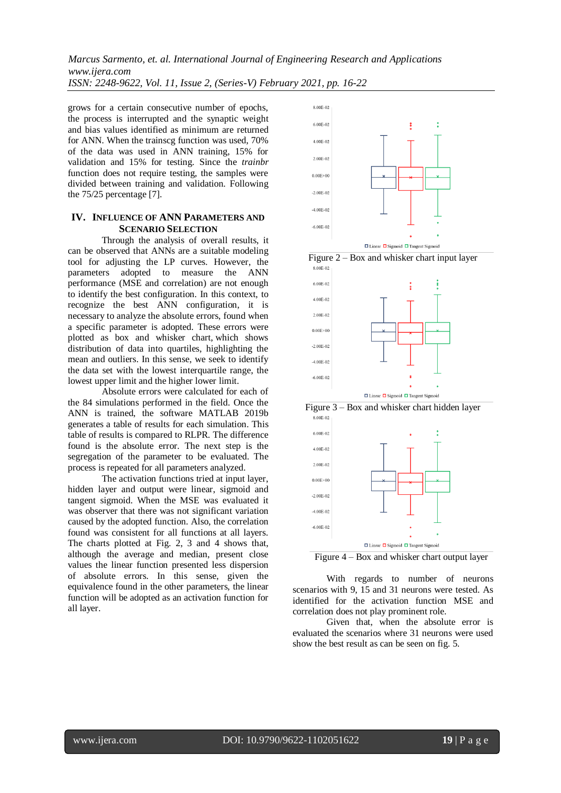*Marcus Sarmento, et. al. International Journal of Engineering Research and Applications www.ijera.com*

*ISSN: 2248-9622, Vol. 11, Issue 2, (Series-V) February 2021, pp. 16-22*

grows for a certain consecutive number of epochs, the process is interrupted and the synaptic weight and bias values identified as minimum are returned for ANN. When the trainscg function was used, 70% of the data was used in ANN training, 15% for validation and 15% for testing. Since the *trainbr* function does not require testing, the samples were divided between training and validation. Following the 75/25 percentage [7].

## **IV. INFLUENCE OF ANN PARAMETERS AND SCENARIO SELECTION**

Through the analysis of overall results, it can be observed that ANNs are a suitable modeling tool for adjusting the LP curves. However, the parameters adopted to measure the ANN performance (MSE and correlation) are not enough to identify the best configuration. In this context, to recognize the best ANN configuration, it is necessary to analyze the absolute errors, found when a specific parameter is adopted. These errors were plotted as box and whisker chart, which shows distribution of data into quartiles, highlighting the mean and outliers. In this sense, we seek to identify the data set with the lowest interquartile range, the lowest upper limit and the higher lower limit.

Absolute errors were calculated for each of the 84 simulations performed in the field. Once the ANN is trained, the software MATLAB 2019b generates a table of results for each simulation. This table of results is compared to RLPR. The difference found is the absolute error. The next step is the segregation of the parameter to be evaluated. The process is repeated for all parameters analyzed.

The activation functions tried at input layer, hidden layer and output were linear, sigmoid and tangent sigmoid. When the MSE was evaluated it was observer that there was not significant variation caused by the adopted function. Also, the correlation found was consistent for all functions at all layers. The charts plotted at Fig. 2, 3 and 4 shows that, although the average and median, present close values the linear function presented less dispersion of absolute errors. In this sense, given the equivalence found in the other parameters, the linear function will be adopted as an activation function for all layer.



Figure 2 – Box and whisker chart input layer







Figure 4 – Box and whisker chart output layer

With regards to number of neurons scenarios with 9, 15 and 31 neurons were tested. As identified for the activation function MSE and correlation does not play prominent role.

Given that, when the absolute error is evaluated the scenarios where 31 neurons were used show the best result as can be seen on fig. 5.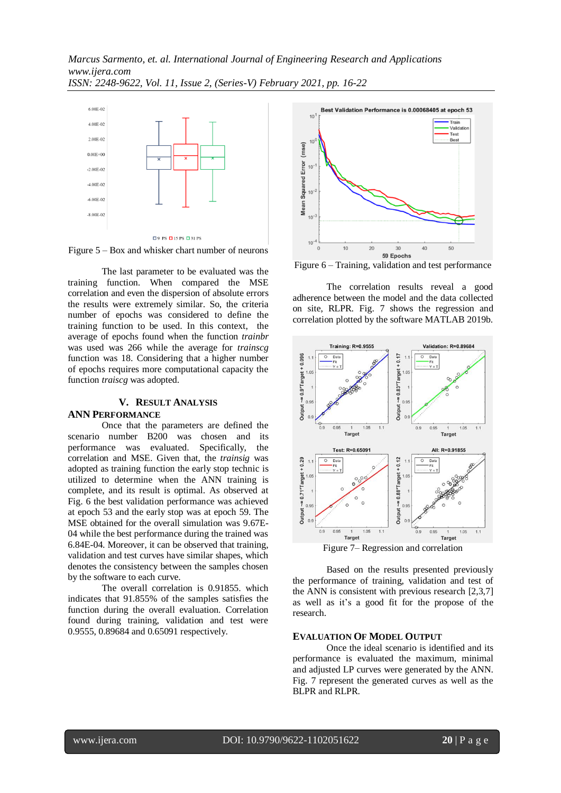*Marcus Sarmento, et. al. International Journal of Engineering Research and Applications www.ijera.com ISSN: 2248-9622, Vol. 11, Issue 2, (Series-V) February 2021, pp. 16-22*



Figure 5 – Box and whisker chart number of neurons

The last parameter to be evaluated was the training function. When compared the MSE correlation and even the dispersion of absolute errors the results were extremely similar. So, the criteria number of epochs was considered to define the training function to be used. In this context, the average of epochs found when the function *trainbr*  was used was 266 while the average for *trainscg* function was 18. Considering that a higher number of epochs requires more computational capacity the function *traiscg* was adopted.

## **V. RESULT ANALYSIS**

#### **ANN PERFORMANCE**

Once that the parameters are defined the scenario number B200 was chosen and its performance was evaluated. Specifically, the correlation and MSE. Given that, the *trainsig* was adopted as training function the early stop technic is utilized to determine when the ANN training is complete, and its result is optimal. As observed at Fig. 6 the best validation performance was achieved at epoch 53 and the early stop was at epoch 59. The MSE obtained for the overall simulation was 9.67E-04 while the best performance during the trained was 6.84E-04. Moreover, it can be observed that training, validation and test curves have similar shapes, which denotes the consistency between the samples chosen by the software to each curve.

The overall correlation is 0.91855. which indicates that 91.855% of the samples satisfies the function during the overall evaluation. Correlation found during training, validation and test were 0.9555, 0.89684 and 0.65091 respectively.



Figure 6 – Training, validation and test performance

The correlation results reveal a good adherence between the model and the data collected on site, RLPR. Fig. 7 shows the regression and correlation plotted by the software MATLAB 2019b.



Figure 7– Regression and correlation

Based on the results presented previously the performance of training, validation and test of the ANN is consistent with previous research [2,3,7] as well as it's a good fit for the propose of the research.

### **EVALUATION OF MODEL OUTPUT**

Once the ideal scenario is identified and its performance is evaluated the maximum, minimal and adjusted LP curves were generated by the ANN. Fig. 7 represent the generated curves as well as the BLPR and RLPR.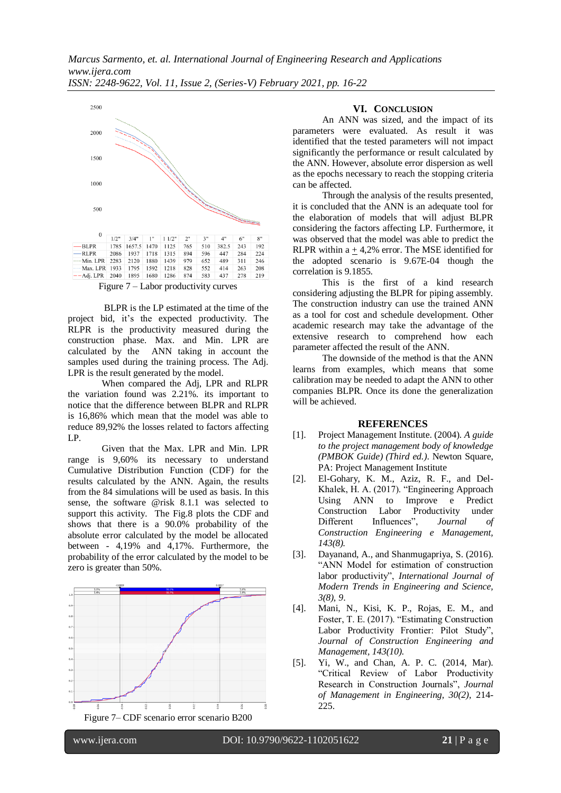

Figure 7 – Labor productivity curves

BLPR is the LP estimated at the time of the project bid, it's the expected productivity. The RLPR is the productivity measured during the construction phase. Max. and Min. LPR are calculated by the ANN taking in account the samples used during the training process. The Adj. LPR is the result generated by the model.

When compared the Adj, LPR and RLPR the variation found was 2.21%. its important to notice that the difference between BLPR and RLPR is 16,86% which mean that the model was able to reduce 89,92% the losses related to factors affecting LP.

Given that the Max. LPR and Min. LPR range is 9,60% its necessary to understand Cumulative Distribution Function (CDF) for the results calculated by the ANN. Again, the results from the 84 simulations will be used as basis. In this sense, the software @risk 8.1.1 was selected to support this activity. The Fig.8 plots the CDF and shows that there is a 90.0% probability of the absolute error calculated by the model be allocated between - 4,19% and 4,17%. Furthermore, the probability of the error calculated by the model to be zero is greater than 50%.



**VI. CONCLUSION**

An ANN was sized, and the impact of its parameters were evaluated. As result it was identified that the tested parameters will not impact significantly the performance or result calculated by the ANN. However, absolute error dispersion as well as the epochs necessary to reach the stopping criteria can be affected.

Through the analysis of the results presented, it is concluded that the ANN is an adequate tool for the elaboration of models that will adjust BLPR considering the factors affecting LP. Furthermore, it was observed that the model was able to predict the RLPR within  $a + 4,2%$  error. The MSE identified for the adopted scenario is 9.67E-04 though the correlation is 9.1855.

This is the first of a kind research considering adjusting the BLPR for piping assembly. The construction industry can use the trained ANN as a tool for cost and schedule development. Other academic research may take the advantage of the extensive research to comprehend how each parameter affected the result of the ANN.

The downside of the method is that the ANN learns from examples, which means that some calibration may be needed to adapt the ANN to other companies BLPR. Once its done the generalization will be achieved.

## **REFERENCES**

- [1]. Project Management Institute. (2004). *A guide to the project management body of knowledge (PMBOK Guide) (Third ed.)*. Newton Square, PA: Project Management Institute
- [2]. El-Gohary, K. M., Aziz, R. F., and Del-Khalek, H. A. (2017). "Engineering Approach Using ANN to Improve e Predict Construction Labor Productivity under Different Influences", *Journal of Construction Engineering e Management, 143(8).*
- [3]. Dayanand, A., and Shanmugapriya, S. (2016). "ANN Model for estimation of construction labor productivity", *International Journal of Modern Trends in Engineering and Science, 3(8), 9*.
- [4]. Mani, N., Kisi, K. P., Rojas, E. M., and Foster, T. E. (2017). "Estimating Construction Labor Productivity Frontier: Pilot Study", *Journal of Construction Engineering and Management, 143(10).*
- [5]. Yi, W., and Chan, A. P. C. (2014, Mar). "Critical Review of Labor Productivity Research in Construction Journals", *Journal of Management in Engineering, 30(2)*, 214- 225.